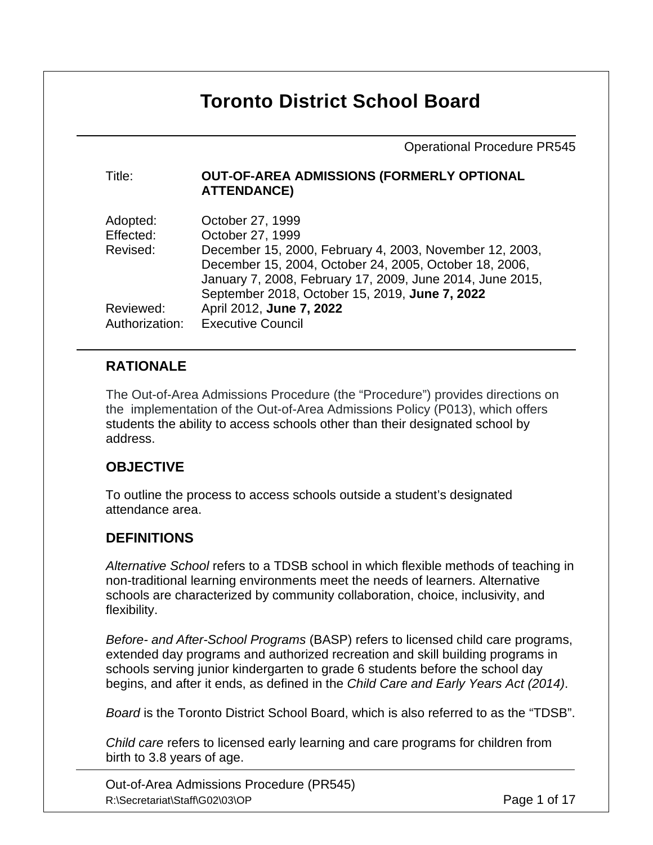# **Toronto District School Board**

Operational Procedure PR545

| Title: | OUT-OF-AREA ADMISSIONS (FORMERLY OPTIONAL |  |
|--------|-------------------------------------------|--|
|        | <b>ATTENDANCE)</b>                        |  |

| Adopted:       | October 27, 1999                                          |
|----------------|-----------------------------------------------------------|
| Effected:      | October 27, 1999                                          |
| Revised:       | December 15, 2000, February 4, 2003, November 12, 2003,   |
|                | December 15, 2004, October 24, 2005, October 18, 2006,    |
|                | January 7, 2008, February 17, 2009, June 2014, June 2015, |
|                | September 2018, October 15, 2019, June 7, 2022            |
| Reviewed:      | April 2012, June 7, 2022                                  |
| Authorization: | <b>Executive Council</b>                                  |

# **RATIONALE**

The Out-of-Area Admissions Procedure (the "Procedure") provides directions on the implementation of the Out-of-Area Admissions Policy (P013), which offers students the ability to access schools other than their designated school by address.

## **OBJECTIVE**

To outline the process to access schools outside a student's designated attendance area.

## **DEFINITIONS**

*Alternative School* refers to a TDSB school in which flexible methods of teaching in non-traditional learning environments meet the needs of learners. Alternative schools are characterized by community collaboration, choice, inclusivity, and flexibility.

*Before- and After-School Programs* (BASP) refers to licensed child care programs, extended day programs and authorized recreation and skill building programs in schools serving junior kindergarten to grade 6 students before the school day begins, and after it ends, as defined in the *Child Care and Early Years Act (2014)*.

*Board* is the Toronto District School Board, which is also referred to as the "TDSB".

*Child care* refers to licensed early learning and care programs for children from birth to 3.8 years of age.

Out-of-Area Admissions Procedure (PR545) R:\Secretariat\Staff\G02\03\OP **Page 1 of 17**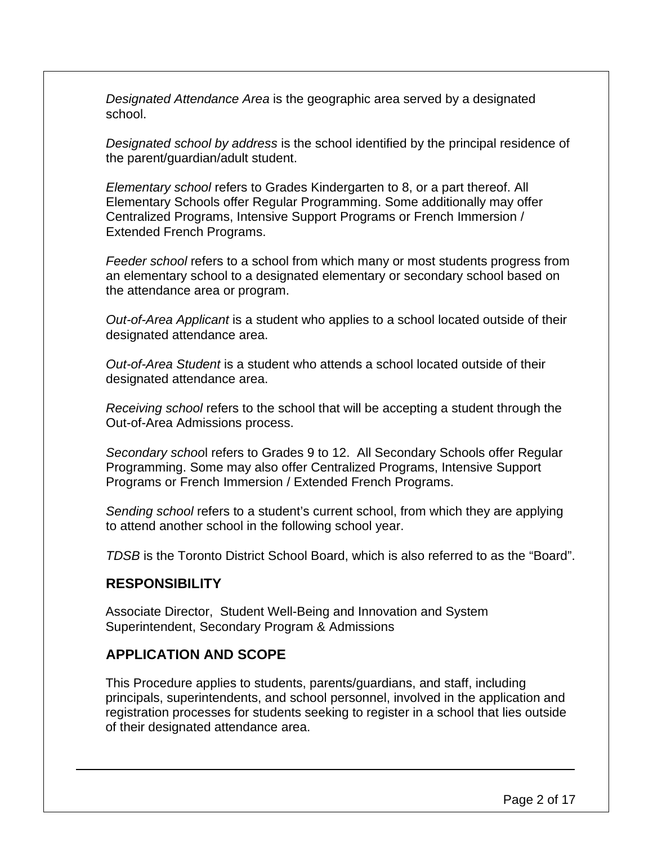*Designated Attendance Area* is the geographic area served by a designated school.

*Designated school by address* is the school identified by the principal residence of the parent/guardian/adult student.

*Elementary school* refers to Grades Kindergarten to 8, or a part thereof. All Elementary Schools offer Regular Programming. Some additionally may offer Centralized Programs, Intensive Support Programs or French Immersion / Extended French Programs.

*Feeder school* refers to a school from which many or most students progress from an elementary school to a designated elementary or secondary school based on the attendance area or program.

*Out-of-Area Applicant* is a student who applies to a school located outside of their designated attendance area.

*Out-of-Area Student* is a student who attends a school located outside of their designated attendance area.

*Receiving school* refers to the school that will be accepting a student through the Out-of-Area Admissions process.

*Secondary schoo*l refers to Grades 9 to 12. All Secondary Schools offer Regular Programming. Some may also offer Centralized Programs, Intensive Support Programs or French Immersion / Extended French Programs.

*Sending school* refers to a student's current school, from which they are applying to attend another school in the following school year.

*TDSB* is the Toronto District School Board, which is also referred to as the "Board".

## **RESPONSIBILITY**

Associate Director, Student Well-Being and Innovation and System Superintendent, Secondary Program & Admissions

#### **APPLICATION AND SCOPE**

This Procedure applies to students, parents/guardians, and staff, including principals, superintendents, and school personnel, involved in the application and registration processes for students seeking to register in a school that lies outside of their designated attendance area.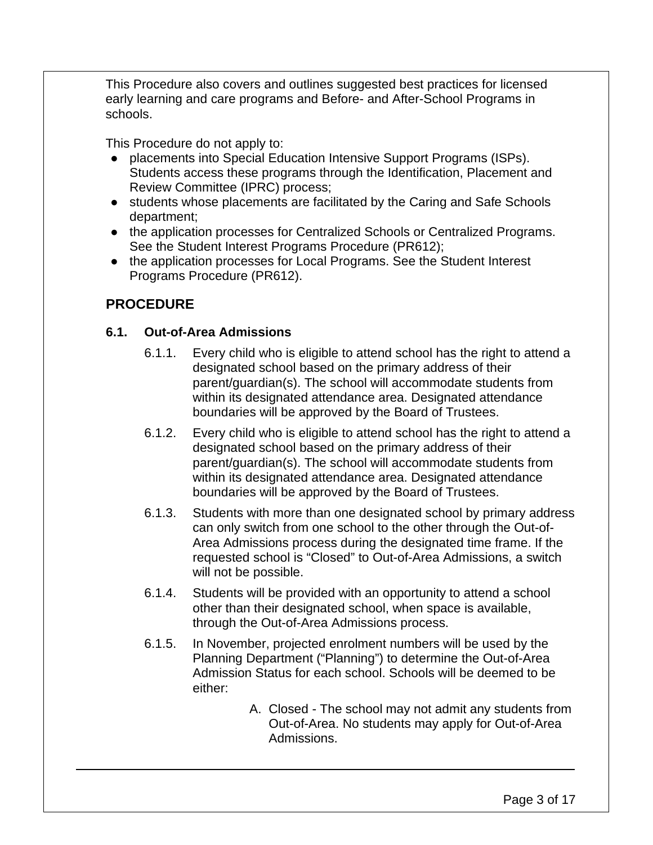This Procedure also covers and outlines suggested best practices for licensed early learning and care programs and Before- and After-School Programs in schools.

This Procedure do not apply to:

- placements into Special Education Intensive Support Programs (ISPs). Students access these programs through the Identification, Placement and Review Committee (IPRC) process;
- students whose placements are facilitated by the Caring and Safe Schools department;
- the application processes for Centralized Schools or Centralized Programs. See the Student Interest Programs Procedure (PR612);
- the application processes for Local Programs. See the Student Interest Programs Procedure (PR612).

# **PROCEDURE**

## **6.1. Out-of-Area Admissions**

- 6.1.1. Every child who is eligible to attend school has the right to attend a designated school based on the primary address of their parent/guardian(s). The school will accommodate students from within its designated attendance area. Designated attendance boundaries will be approved by the Board of Trustees.
- 6.1.2. Every child who is eligible to attend school has the right to attend a designated school based on the primary address of their parent/guardian(s). The school will accommodate students from within its designated attendance area. Designated attendance boundaries will be approved by the Board of Trustees.
- 6.1.3. Students with more than one designated school by primary address can only switch from one school to the other through the Out-of-Area Admissions process during the designated time frame. If the requested school is "Closed" to Out-of-Area Admissions, a switch will not be possible.
- 6.1.4. Students will be provided with an opportunity to attend a school other than their designated school, when space is available, through the Out-of-Area Admissions process.
- 6.1.5. In November, projected enrolment numbers will be used by the Planning Department ("Planning") to determine the Out-of-Area Admission Status for each school. Schools will be deemed to be either:
	- A. Closed The school may not admit any students from Out-of-Area. No students may apply for Out-of-Area Admissions.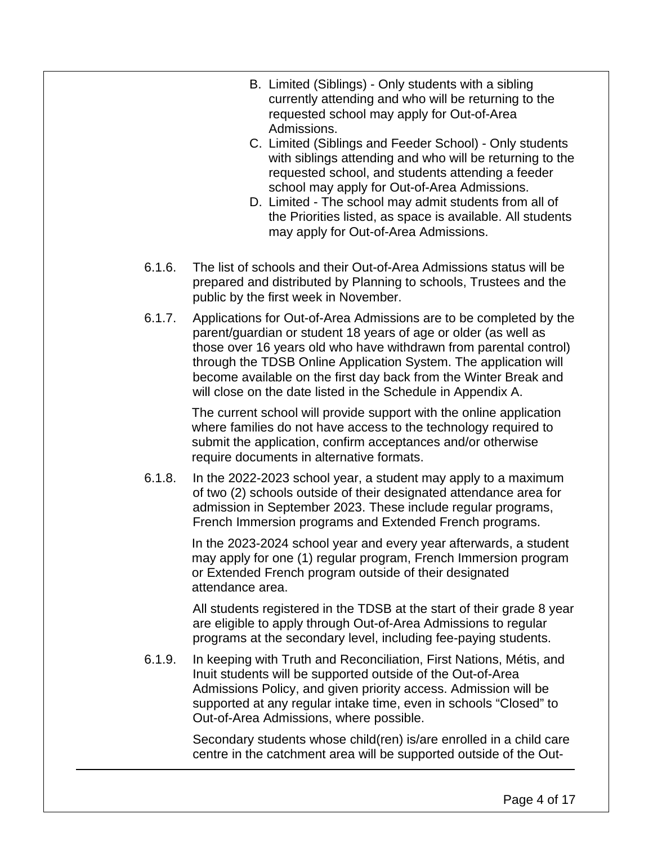- B. Limited (Siblings) Only students with a sibling currently attending and who will be returning to the requested school may apply for Out-of-Area Admissions.
- C. Limited (Siblings and Feeder School) Only students with siblings attending and who will be returning to the requested school, and students attending a feeder school may apply for Out-of-Area Admissions.
- D. Limited The school may admit students from all of the Priorities listed, as space is available. All students may apply for Out-of-Area Admissions.
- 6.1.6. The list of schools and their Out-of-Area Admissions status will be prepared and distributed by Planning to schools, Trustees and the public by the first week in November.
- 6.1.7. Applications for Out-of-Area Admissions are to be completed by the parent/guardian or student 18 years of age or older (as well as those over 16 years old who have withdrawn from parental control) through the TDSB Online Application System. The application will become available on the first day back from the Winter Break and will close on the date listed in the Schedule in Appendix A.

The current school will provide support with the online application where families do not have access to the technology required to submit the application, confirm acceptances and/or otherwise require documents in alternative formats.

6.1.8. In the 2022-2023 school year, a student may apply to a maximum of two (2) schools outside of their designated attendance area for admission in September 2023. These include regular programs, French Immersion programs and Extended French programs.

> In the 2023-2024 school year and every year afterwards, a student may apply for one (1) regular program, French Immersion program or Extended French program outside of their designated attendance area.

> All students registered in the TDSB at the start of their grade 8 year are eligible to apply through Out-of-Area Admissions to regular programs at the secondary level, including fee-paying students.

6.1.9. In keeping with Truth and Reconciliation, First Nations, Métis, and Inuit students will be supported outside of the Out-of-Area Admissions Policy, and given priority access. Admission will be supported at any regular intake time, even in schools "Closed" to Out-of-Area Admissions, where possible.

> Secondary students whose child(ren) is/are enrolled in a child care centre in the catchment area will be supported outside of the Out-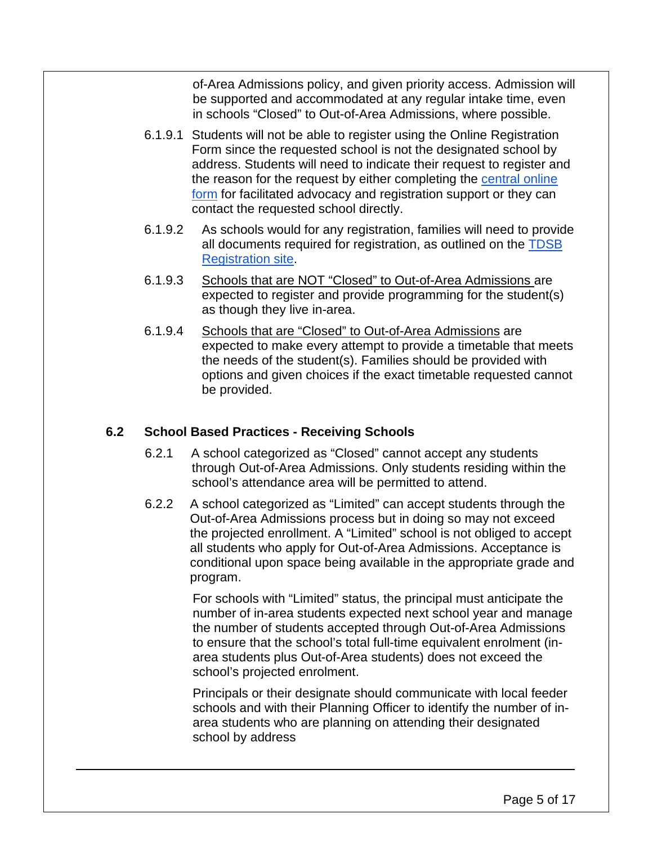of-Area Admissions policy, and given priority access. Admission will be supported and accommodated at any regular intake time, even in schools "Closed" to Out-of-Area Admissions, where possible.

- 6.1.9.1 Students will not be able to register using the Online Registration Form since the requested school is not the designated school by address. Students will need to indicate their request to register and the reason for the request by either completing the [central online](https://docs.google.com/forms/d/e/1FAIpQLSeqTOn21RCJ6PyUnMvUx1uvY37KEJdDBDLkM-hMbPWXnKfWLA/viewform?usp=sf_link)  [form](https://docs.google.com/forms/d/e/1FAIpQLSeqTOn21RCJ6PyUnMvUx1uvY37KEJdDBDLkM-hMbPWXnKfWLA/viewform?usp=sf_link) for facilitated advocacy and registration support or they can contact the requested school directly.
- 6.1.9.2 As schools would for any registration, families will need to provide all documents required for registration, as outlined on the [TDSB](https://www.tdsb.on.ca/Find-your/School/Registration)  [Registration site.](https://www.tdsb.on.ca/Find-your/School/Registration)
- 6.1.9.3 Schools that are NOT "Closed" to Out-of-Area Admissions are expected to register and provide programming for the student(s) as though they live in-area.
- 6.1.9.4 Schools that are "Closed" to Out-of-Area Admissions are expected to make every attempt to provide a timetable that meets the needs of the student(s). Families should be provided with options and given choices if the exact timetable requested cannot be provided.

## **6.2 School Based Practices - Receiving Schools**

- 6.2.1 A school categorized as "Closed" cannot accept any students through Out-of-Area Admissions. Only students residing within the school's attendance area will be permitted to attend.
- 6.2.2 A school categorized as "Limited" can accept students through the Out-of-Area Admissions process but in doing so may not exceed the projected enrollment. A "Limited" school is not obliged to accept all students who apply for Out-of-Area Admissions. Acceptance is conditional upon space being available in the appropriate grade and program.

For schools with "Limited" status, the principal must anticipate the number of in-area students expected next school year and manage the number of students accepted through Out-of-Area Admissions to ensure that the school's total full-time equivalent enrolment (inarea students plus Out-of-Area students) does not exceed the school's projected enrolment.

Principals or their designate should communicate with local feeder schools and with their Planning Officer to identify the number of inarea students who are planning on attending their designated school by address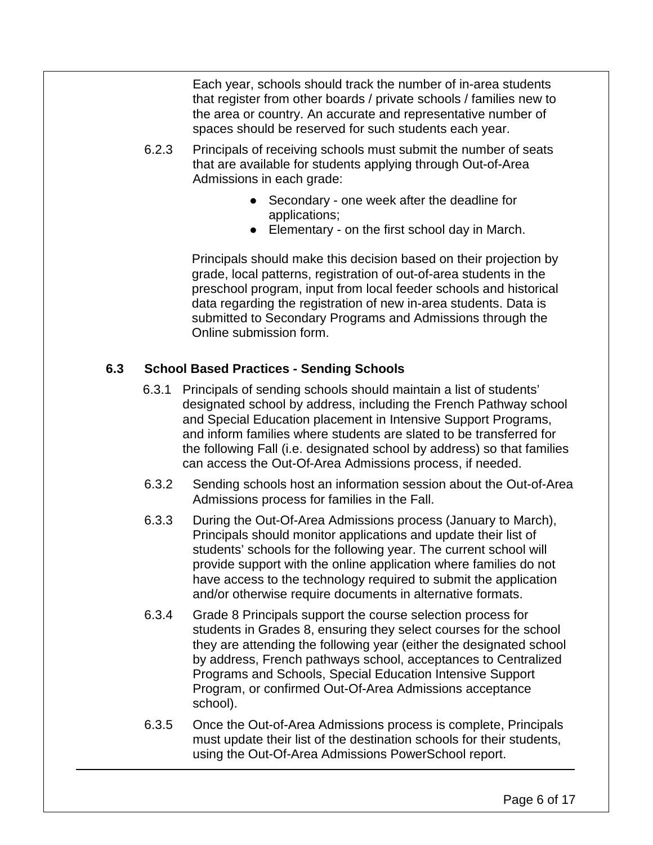Each year, schools should track the number of in-area students that register from other boards / private schools / families new to the area or country. An accurate and representative number of spaces should be reserved for such students each year.

- 6.2.3 Principals of receiving schools must submit the number of seats that are available for students applying through Out-of-Area Admissions in each grade:
	- Secondary one week after the deadline for applications;
	- Elementary on the first school day in March.

Principals should make this decision based on their projection by grade, local patterns, registration of out-of-area students in the preschool program, input from local feeder schools and historical data regarding the registration of new in-area students. Data is submitted to Secondary Programs and Admissions through the Online submission form.

# **6.3 School Based Practices - Sending Schools**

- 6.3.1 Principals of sending schools should maintain a list of students' designated school by address, including the French Pathway school and Special Education placement in Intensive Support Programs, and inform families where students are slated to be transferred for the following Fall (i.e. designated school by address) so that families can access the Out-Of-Area Admissions process, if needed.
- 6.3.2 Sending schools host an information session about the Out-of-Area Admissions process for families in the Fall.
- 6.3.3 During the Out-Of-Area Admissions process (January to March), Principals should monitor applications and update their list of students' schools for the following year. The current school will provide support with the online application where families do not have access to the technology required to submit the application and/or otherwise require documents in alternative formats.
- 6.3.4 Grade 8 Principals support the course selection process for students in Grades 8, ensuring they select courses for the school they are attending the following year (either the designated school by address, French pathways school, acceptances to Centralized Programs and Schools, Special Education Intensive Support Program, or confirmed Out-Of-Area Admissions acceptance school).
- 6.3.5 Once the Out-of-Area Admissions process is complete, Principals must update their list of the destination schools for their students, using the Out-Of-Area Admissions PowerSchool report.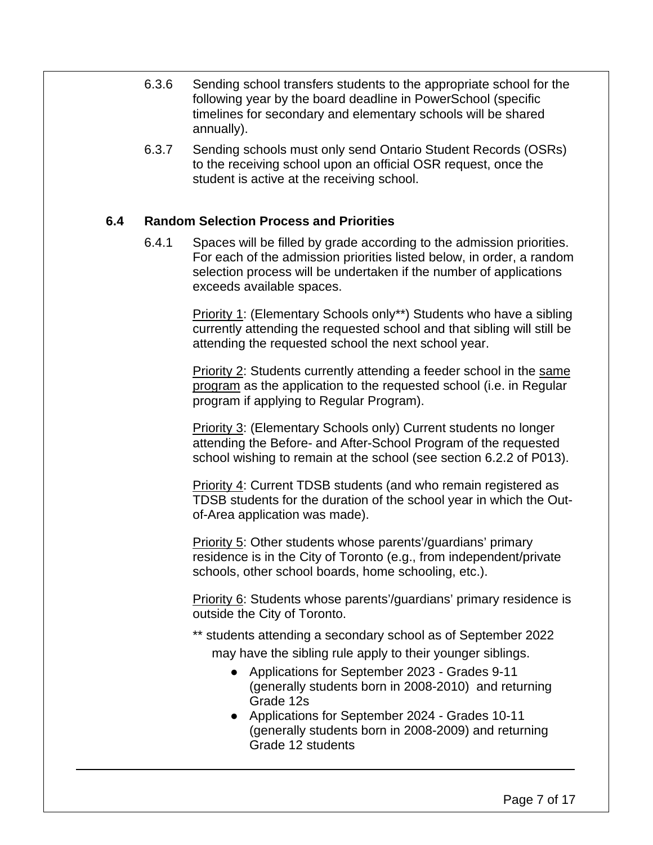- 6.3.6 Sending school transfers students to the appropriate school for the following year by the board deadline in PowerSchool (specific timelines for secondary and elementary schools will be shared annually).
- 6.3.7 Sending schools must only send Ontario Student Records (OSRs) to the receiving school upon an official OSR request, once the student is active at the receiving school.

#### **6.4 Random Selection Process and Priorities**

6.4.1 Spaces will be filled by grade according to the admission priorities. For each of the admission priorities listed below, in order, a random selection process will be undertaken if the number of applications exceeds available spaces.

> Priority 1: (Elementary Schools only\*\*) Students who have a sibling currently attending the requested school and that sibling will still be attending the requested school the next school year.

> Priority 2: Students currently attending a feeder school in the same program as the application to the requested school (i.e. in Regular program if applying to Regular Program).

> Priority 3: (Elementary Schools only) Current students no longer attending the Before- and After-School Program of the requested school wishing to remain at the school (see section 6.2.2 of P013).

> **Priority 4: Current TDSB students (and who remain registered as** TDSB students for the duration of the school year in which the Outof-Area application was made).

Priority 5: Other students whose parents'/guardians' primary residence is in the City of Toronto (e.g., from independent/private schools, other school boards, home schooling, etc.).

Priority 6: Students whose parents'/guardians' primary residence is outside the City of Toronto.

\*\* students attending a secondary school as of September 2022

may have the sibling rule apply to their younger siblings.

- Applications for September 2023 Grades 9-11 (generally students born in 2008-2010) and returning Grade 12s
- Applications for September 2024 Grades 10-11 (generally students born in 2008-2009) and returning Grade 12 students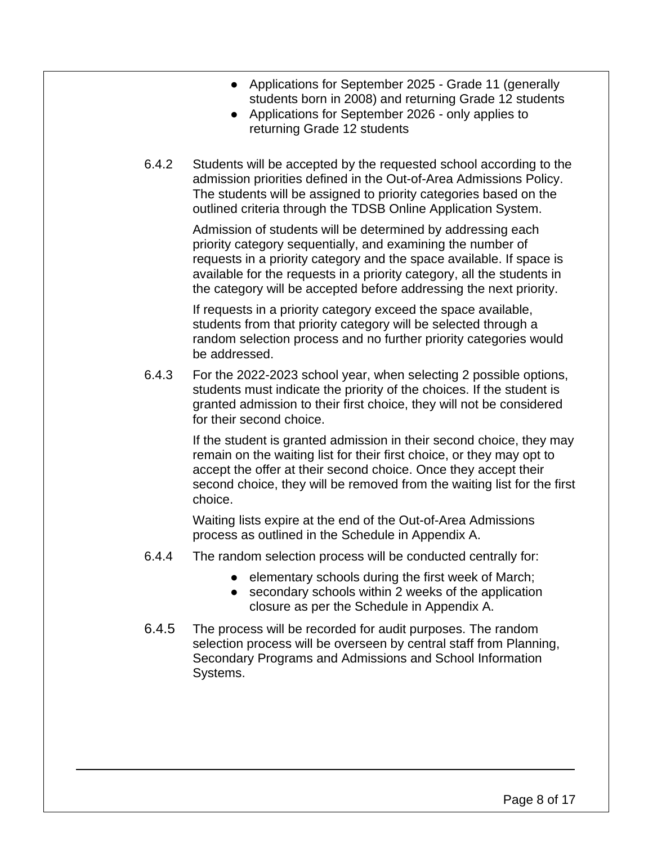- Applications for September 2025 Grade 11 (generally students born in 2008) and returning Grade 12 students
- Applications for September 2026 only applies to returning Grade 12 students
- 6.4.2 Students will be accepted by the requested school according to the admission priorities defined in the Out-of-Area Admissions Policy. The students will be assigned to priority categories based on the outlined criteria through the TDSB Online Application System.

Admission of students will be determined by addressing each priority category sequentially, and examining the number of requests in a priority category and the space available. If space is available for the requests in a priority category, all the students in the category will be accepted before addressing the next priority.

If requests in a priority category exceed the space available, students from that priority category will be selected through a random selection process and no further priority categories would be addressed.

6.4.3 For the 2022-2023 school year, when selecting 2 possible options, students must indicate the priority of the choices. If the student is granted admission to their first choice, they will not be considered for their second choice.

> If the student is granted admission in their second choice, they may remain on the waiting list for their first choice, or they may opt to accept the offer at their second choice. Once they accept their second choice, they will be removed from the waiting list for the first choice.

Waiting lists expire at the end of the Out-of-Area Admissions process as outlined in the Schedule in Appendix A.

- 6.4.4 The random selection process will be conducted centrally for:
	- elementary schools during the first week of March;
	- secondary schools within 2 weeks of the application closure as per the Schedule in Appendix A.
- 6.4.5 The process will be recorded for audit purposes. The random selection process will be overseen by central staff from Planning, Secondary Programs and Admissions and School Information Systems.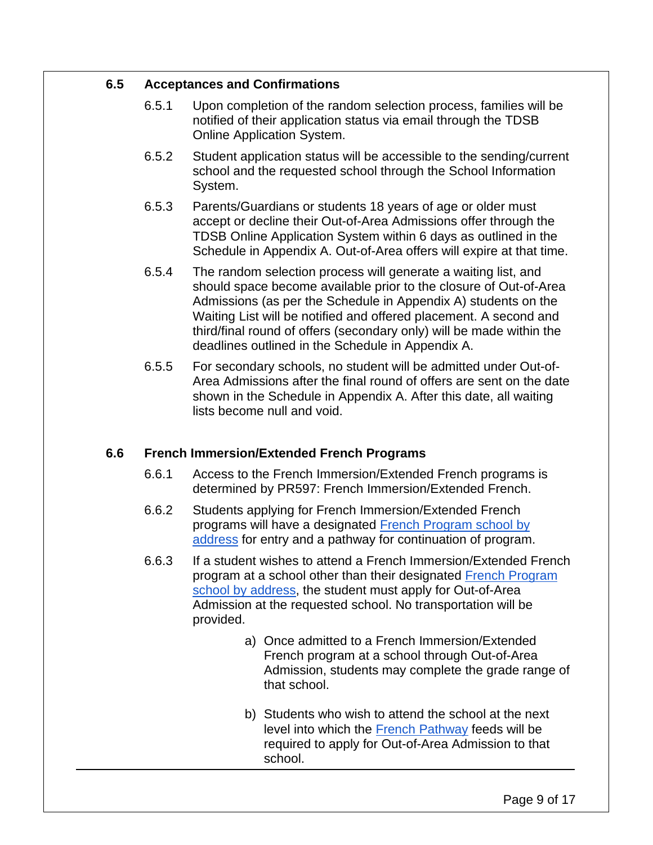#### **6.5 Acceptances and Confirmations**

- 6.5.1 Upon completion of the random selection process, families will be notified of their application status via email through the TDSB Online Application System.
- 6.5.2 Student application status will be accessible to the sending/current school and the requested school through the School Information System.
- 6.5.3 Parents/Guardians or students 18 years of age or older must accept or decline their Out-of-Area Admissions offer through the TDSB Online Application System within 6 days as outlined in the Schedule in Appendix A. Out-of-Area offers will expire at that time.
- 6.5.4 The random selection process will generate a waiting list, and should space become available prior to the closure of Out-of-Area Admissions (as per the Schedule in Appendix A) students on the Waiting List will be notified and offered placement. A second and third/final round of offers (secondary only) will be made within the deadlines outlined in the Schedule in Appendix A.
- 6.5.5 For secondary schools, no student will be admitted under Out-of-Area Admissions after the final round of offers are sent on the date shown in the Schedule in Appendix A. After this date, all waiting lists become null and void.

## **6.6 French Immersion/Extended French Programs**

- 6.6.1 Access to the French Immersion/Extended French programs is determined by PR597: French Immersion/Extended French.
- 6.6.2 Students applying for French Immersion/Extended French programs will have a designated [French Program school by](https://www.tdsb.on.ca/Elementary-School/School-Choices/French-Programs/School-Search)  [address](https://www.tdsb.on.ca/Elementary-School/School-Choices/French-Programs/School-Search) for entry and a pathway for continuation of program.
- 6.6.3 If a student wishes to attend a French Immersion/Extended French program at a school other than their designated [French Program](https://www.tdsb.on.ca/Elementary-School/School-Choices/French-Programs/School-Search)  [school by address,](https://www.tdsb.on.ca/Elementary-School/School-Choices/French-Programs/School-Search) the student must apply for Out-of-Area Admission at the requested school. No transportation will be provided.
	- a) Once admitted to a French Immersion/Extended French program at a school through Out-of-Area Admission, students may complete the grade range of that school.
	- b) Students who wish to attend the school at the next level into which the **French Pathway** feeds will be required to apply for Out-of-Area Admission to that school.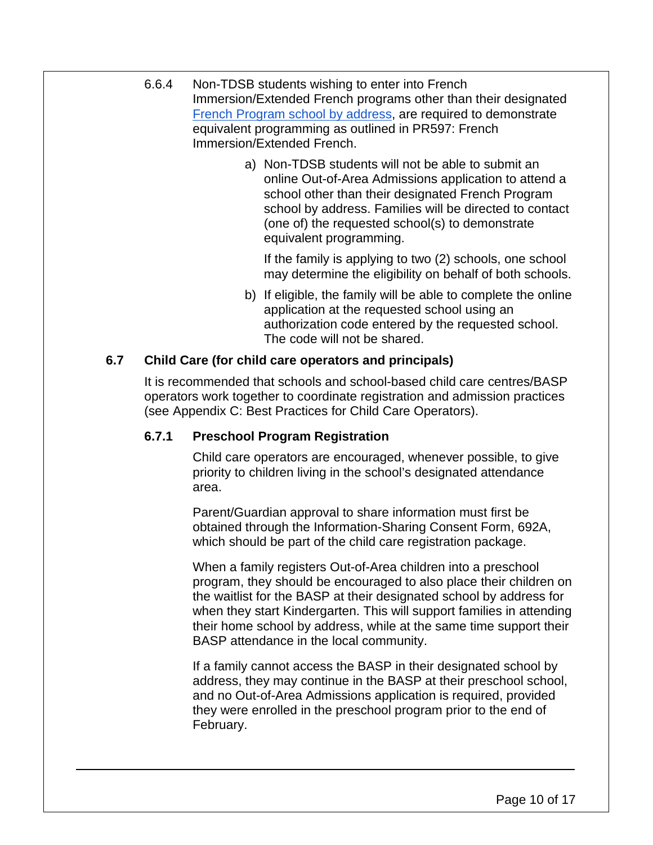- 6.6.4 Non-TDSB students wishing to enter into French Immersion/Extended French programs other than their designated [French Program school by address,](https://www.tdsb.on.ca/Elementary-School/School-Choices/French-Programs/School-Search) are required to demonstrate equivalent programming as outlined in PR597: French Immersion/Extended French.
	- a) Non-TDSB students will not be able to submit an online Out-of-Area Admissions application to attend a school other than their designated French Program school by address. Families will be directed to contact (one of) the requested school(s) to demonstrate equivalent programming.

If the family is applying to two (2) schools, one school may determine the eligibility on behalf of both schools.

b) If eligible, the family will be able to complete the online application at the requested school using an authorization code entered by the requested school. The code will not be shared.

# **6.7 Child Care (for child care operators and principals)**

It is recommended that schools and school-based child care centres/BASP operators work together to coordinate registration and admission practices (see Appendix C: Best Practices for Child Care Operators).

# **6.7.1 Preschool Program Registration**

Child care operators are encouraged, whenever possible, to give priority to children living in the school's designated attendance area.

Parent/Guardian approval to share information must first be obtained through the Information-Sharing Consent Form, 692A, which should be part of the child care registration package.

When a family registers Out-of-Area children into a preschool program, they should be encouraged to also place their children on the waitlist for the BASP at their designated school by address for when they start Kindergarten. This will support families in attending their home school by address, while at the same time support their BASP attendance in the local community.

If a family cannot access the BASP in their designated school by address, they may continue in the BASP at their preschool school, and no Out-of-Area Admissions application is required, provided they were enrolled in the preschool program prior to the end of February.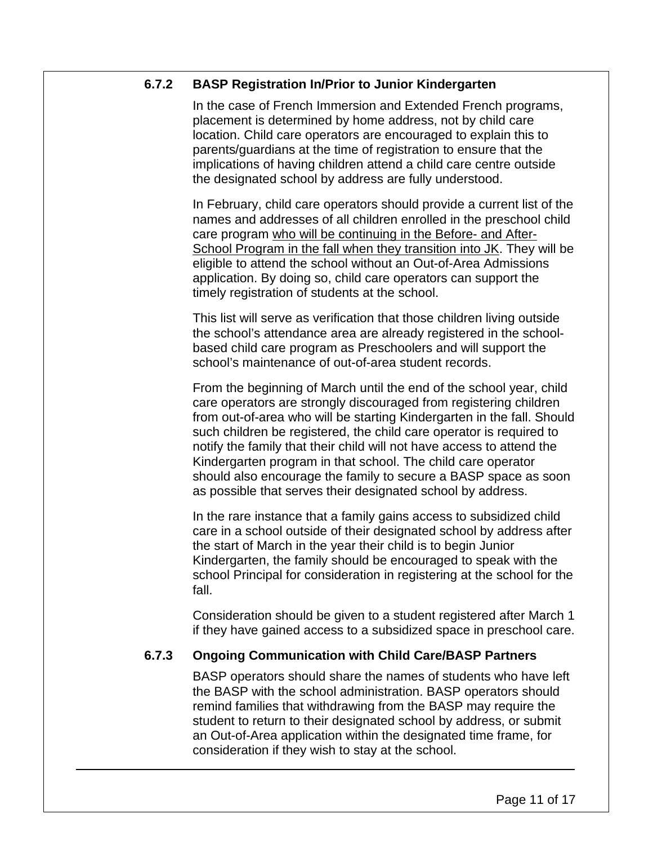#### **6.7.2 BASP Registration In/Prior to Junior Kindergarten**

In the case of French Immersion and Extended French programs, placement is determined by home address, not by child care location. Child care operators are encouraged to explain this to parents/guardians at the time of registration to ensure that the implications of having children attend a child care centre outside the designated school by address are fully understood.

In February, child care operators should provide a current list of the names and addresses of all children enrolled in the preschool child care program who will be continuing in the Before- and After-School Program in the fall when they transition into JK. They will be eligible to attend the school without an Out-of-Area Admissions application. By doing so, child care operators can support the timely registration of students at the school.

This list will serve as verification that those children living outside the school's attendance area are already registered in the schoolbased child care program as Preschoolers and will support the school's maintenance of out-of-area student records.

From the beginning of March until the end of the school year, child care operators are strongly discouraged from registering children from out-of-area who will be starting Kindergarten in the fall. Should such children be registered, the child care operator is required to notify the family that their child will not have access to attend the Kindergarten program in that school. The child care operator should also encourage the family to secure a BASP space as soon as possible that serves their designated school by address.

In the rare instance that a family gains access to subsidized child care in a school outside of their designated school by address after the start of March in the year their child is to begin Junior Kindergarten, the family should be encouraged to speak with the school Principal for consideration in registering at the school for the fall.

Consideration should be given to a student registered after March 1 if they have gained access to a subsidized space in preschool care.

## **6.7.3 Ongoing Communication with Child Care/BASP Partners**

BASP operators should share the names of students who have left the BASP with the school administration. BASP operators should remind families that withdrawing from the BASP may require the student to return to their designated school by address, or submit an Out-of-Area application within the designated time frame, for consideration if they wish to stay at the school.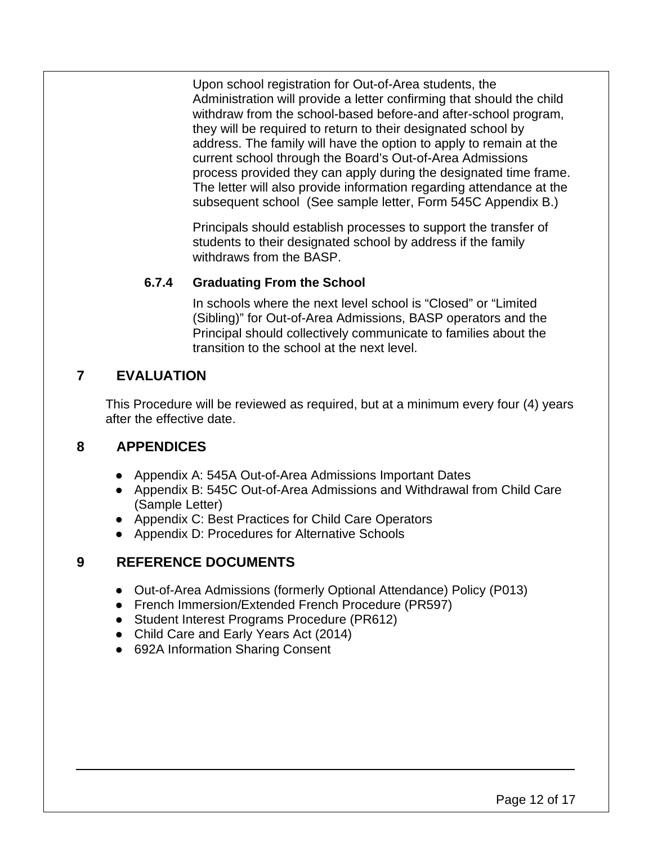Upon school registration for Out-of-Area students, the Administration will provide a letter confirming that should the child withdraw from the school-based before-and after-school program, they will be required to return to their designated school by address. The family will have the option to apply to remain at the current school through the Board's Out-of-Area Admissions process provided they can apply during the designated time frame. The letter will also provide information regarding attendance at the subsequent school (See sample letter, Form 545C Appendix B.)

Principals should establish processes to support the transfer of students to their designated school by address if the family withdraws from the BASP.

## **6.7.4 Graduating From the School**

In schools where the next level school is "Closed" or "Limited (Sibling)" for Out-of-Area Admissions, BASP operators and the Principal should collectively communicate to families about the transition to the school at the next level.

# **7 EVALUATION**

This Procedure will be reviewed as required, but at a minimum every four (4) years after the effective date.

# **8 APPENDICES**

- Appendix A: 545A Out-of-Area Admissions Important Dates
- Appendix B: 545C Out-of-Area Admissions and Withdrawal from Child Care (Sample Letter)
- Appendix C: Best Practices for Child Care Operators
- Appendix D: Procedures for Alternative Schools

# **9 REFERENCE DOCUMENTS**

- Out-of-Area Admissions (formerly Optional Attendance) Policy (P013)
- French Immersion/Extended French Procedure (PR597)
- Student Interest Programs Procedure (PR612)
- Child Care and Early Years Act (2014)
- 692A Information Sharing Consent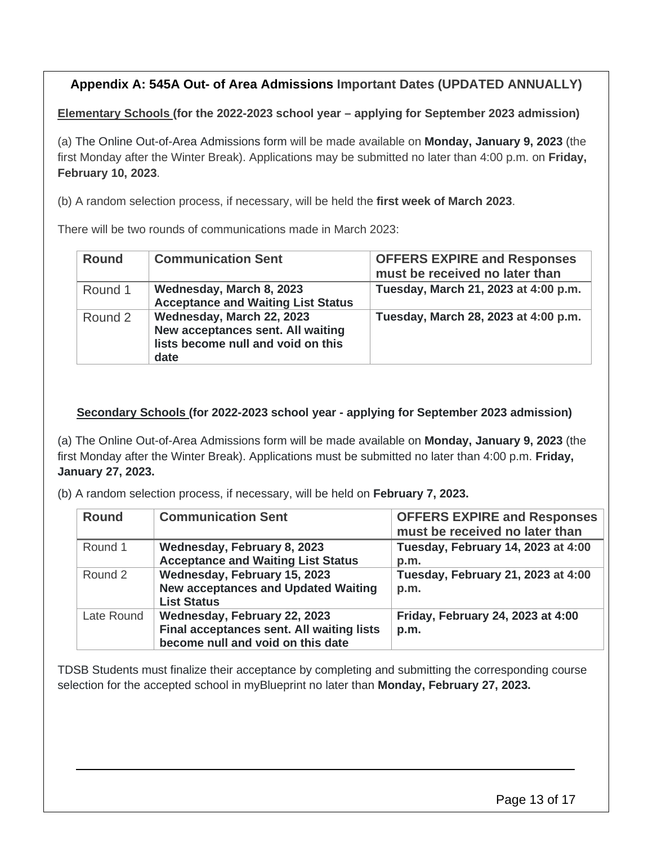# **Appendix A: 545A Out- of Area Admissions Important Dates (UPDATED ANNUALLY)**

**Elementary Schools (for the 2022-2023 school year – applying for September 2023 admission)** 

(a) The Online Out-of-Area Admissions form will be made available on **Monday, January 9, 2023** (the first Monday after the Winter Break). Applications may be submitted no later than 4:00 p.m. on **Friday, February 10, 2023**.

(b) A random selection process, if necessary, will be held the **first week of March 2023**.

There will be two rounds of communications made in March 2023:

| <b>Round</b> | <b>Communication Sent</b>                                                                                    | <b>OFFERS EXPIRE and Responses</b><br>must be received no later than |
|--------------|--------------------------------------------------------------------------------------------------------------|----------------------------------------------------------------------|
| Round 1      | Wednesday, March 8, 2023<br><b>Acceptance and Waiting List Status</b>                                        | Tuesday, March 21, 2023 at 4:00 p.m.                                 |
| Round 2      | Wednesday, March 22, 2023<br>New acceptances sent. All waiting<br>lists become null and void on this<br>date | Tuesday, March 28, 2023 at 4:00 p.m.                                 |

#### **Secondary Schools (for 2022-2023 school year - applying for September 2023 admission)**

(a) The Online Out-of-Area Admissions form will be made available on **Monday, January 9, 2023** (the first Monday after the Winter Break). Applications must be submitted no later than 4:00 p.m. **Friday, January 27, 2023.** 

(b) A random selection process, if necessary, will be held on **February 7, 2023.**

| <b>Round</b> | <b>Communication Sent</b>                                                                                      | <b>OFFERS EXPIRE and Responses</b><br>must be received no later than |
|--------------|----------------------------------------------------------------------------------------------------------------|----------------------------------------------------------------------|
| Round 1      | Wednesday, February 8, 2023<br><b>Acceptance and Waiting List Status</b>                                       | Tuesday, February 14, 2023 at 4:00<br>p.m.                           |
| Round 2      | Wednesday, February 15, 2023<br><b>New acceptances and Updated Waiting</b><br><b>List Status</b>               | Tuesday, February 21, 2023 at 4:00<br>p.m.                           |
| Late Round   | Wednesday, February 22, 2023<br>Final acceptances sent. All waiting lists<br>become null and void on this date | Friday, February 24, 2023 at 4:00<br>p.m.                            |

TDSB Students must finalize their acceptance by completing and submitting the corresponding course selection for the accepted school in myBlueprint no later than **Monday, February 27, 2023.**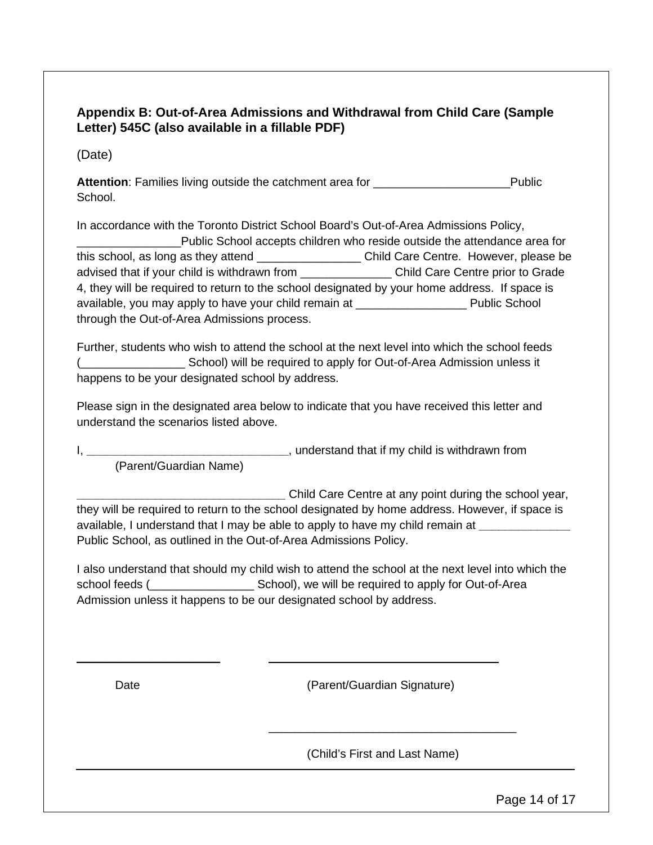## **Appendix B: Out-of-Area Admissions and Withdrawal from Child Care (Sample Letter) 545C (also available in a fillable PDF)**

(Date)

Attention: Families living outside the catchment area for **with the category of the Category** Public School.

In accordance with the Toronto District School Board's Out-of-Area Admissions Policy, \_\_\_\_\_\_\_\_\_\_\_\_\_\_\_\_Public School accepts children who reside outside the attendance area for this school, as long as they attend \_\_\_\_\_\_\_\_\_\_\_\_\_\_\_\_\_\_\_\_\_\_\_Child Care Centre. However, please be advised that if your child is withdrawn from \_\_\_\_\_\_\_\_\_\_\_\_\_\_ Child Care Centre prior to Grade 4, they will be required to return to the school designated by your home address. If space is available, you may apply to have your child remain at \_\_\_\_\_\_\_\_\_\_\_\_\_\_\_\_\_ Public School through the Out-of-Area Admissions process.

Further, students who wish to attend the school at the next level into which the school feeds (School) will be required to apply for Out-of-Area Admission unless it happens to be your designated school by address.

Please sign in the designated area below to indicate that you have received this letter and understand the scenarios listed above.

I, **\_\_\_\_\_\_\_\_\_\_\_\_\_\_\_\_\_\_\_\_\_\_\_\_\_\_\_\_\_\_\_**, understand that if my child is withdrawn from (Parent/Guardian Name)

**\_\_\_\_\_\_\_\_\_\_\_\_\_\_\_\_\_\_\_\_\_\_\_\_\_\_\_\_\_\_\_\_** Child Care Centre at any point during the school year, they will be required to return to the school designated by home address. However, if space is available, I understand that I may be able to apply to have my child remain at **\_\_\_\_\_\_\_\_\_\_\_\_\_\_** Public School, as outlined in the Out-of-Area Admissions Policy.

I also understand that should my child wish to attend the school at the next level into which the school feeds (
<br>
School), we will be required to apply for Out-of-Area Admission unless it happens to be our designated school by address.

\_\_\_\_\_\_\_\_\_\_\_\_\_\_\_\_\_\_\_\_\_\_

Date (Parent/Guardian Signature)

(Child's First and Last Name)

\_\_\_\_\_\_\_\_\_\_\_\_\_\_\_\_\_\_\_\_\_\_\_\_\_\_\_\_\_\_\_\_\_\_\_\_\_\_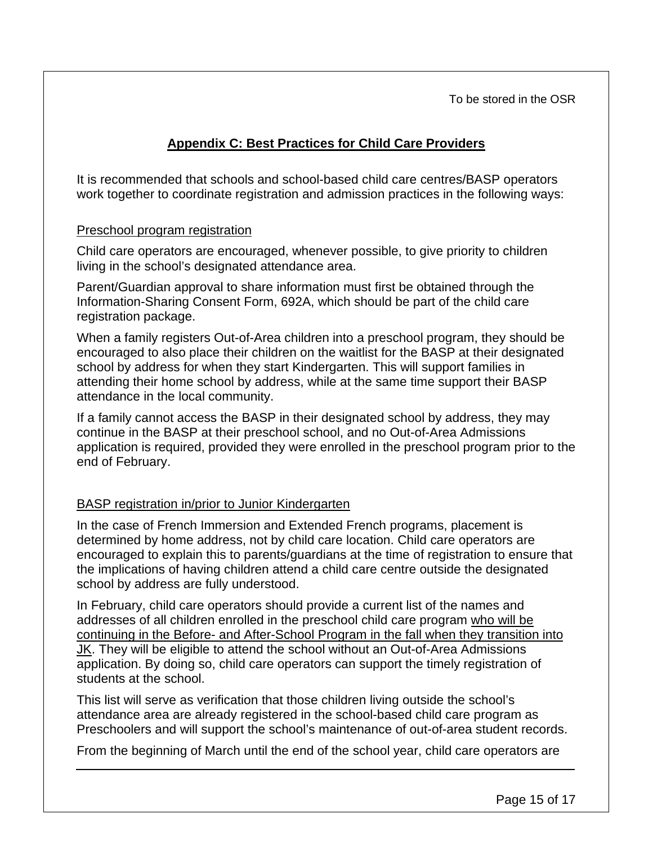To be stored in the OSR

# **Appendix C: Best Practices for Child Care Providers**

It is recommended that schools and school-based child care centres/BASP operators work together to coordinate registration and admission practices in the following ways:

#### Preschool program registration

Child care operators are encouraged, whenever possible, to give priority to children living in the school's designated attendance area.

Parent/Guardian approval to share information must first be obtained through the Information-Sharing Consent Form, 692A, which should be part of the child care registration package.

When a family registers Out-of-Area children into a preschool program, they should be encouraged to also place their children on the waitlist for the BASP at their designated school by address for when they start Kindergarten. This will support families in attending their home school by address, while at the same time support their BASP attendance in the local community.

If a family cannot access the BASP in their designated school by address, they may continue in the BASP at their preschool school, and no Out-of-Area Admissions application is required, provided they were enrolled in the preschool program prior to the end of February.

## BASP registration in/prior to Junior Kindergarten

In the case of French Immersion and Extended French programs, placement is determined by home address, not by child care location. Child care operators are encouraged to explain this to parents/guardians at the time of registration to ensure that the implications of having children attend a child care centre outside the designated school by address are fully understood.

In February, child care operators should provide a current list of the names and addresses of all children enrolled in the preschool child care program who will be continuing in the Before- and After-School Program in the fall when they transition into JK. They will be eligible to attend the school without an Out-of-Area Admissions application. By doing so, child care operators can support the timely registration of students at the school.

This list will serve as verification that those children living outside the school's attendance area are already registered in the school-based child care program as Preschoolers and will support the school's maintenance of out-of-area student records.

From the beginning of March until the end of the school year, child care operators are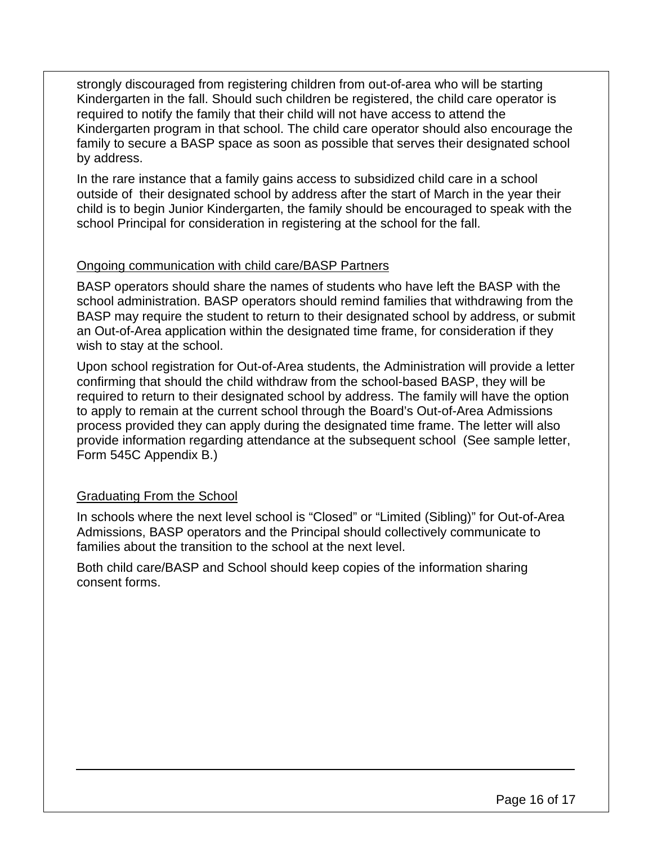strongly discouraged from registering children from out-of-area who will be starting Kindergarten in the fall. Should such children be registered, the child care operator is required to notify the family that their child will not have access to attend the Kindergarten program in that school. The child care operator should also encourage the family to secure a BASP space as soon as possible that serves their designated school by address.

In the rare instance that a family gains access to subsidized child care in a school outside of their designated school by address after the start of March in the year their child is to begin Junior Kindergarten, the family should be encouraged to speak with the school Principal for consideration in registering at the school for the fall.

#### Ongoing communication with child care/BASP Partners

BASP operators should share the names of students who have left the BASP with the school administration. BASP operators should remind families that withdrawing from the BASP may require the student to return to their designated school by address, or submit an Out-of-Area application within the designated time frame, for consideration if they wish to stay at the school.

Upon school registration for Out-of-Area students, the Administration will provide a letter confirming that should the child withdraw from the school-based BASP, they will be required to return to their designated school by address. The family will have the option to apply to remain at the current school through the Board's Out-of-Area Admissions process provided they can apply during the designated time frame. The letter will also provide information regarding attendance at the subsequent school (See sample letter, Form 545C Appendix B.)

## Graduating From the School

In schools where the next level school is "Closed" or "Limited (Sibling)" for Out-of-Area Admissions, BASP operators and the Principal should collectively communicate to families about the transition to the school at the next level.

Both child care/BASP and School should keep copies of the information sharing consent forms.